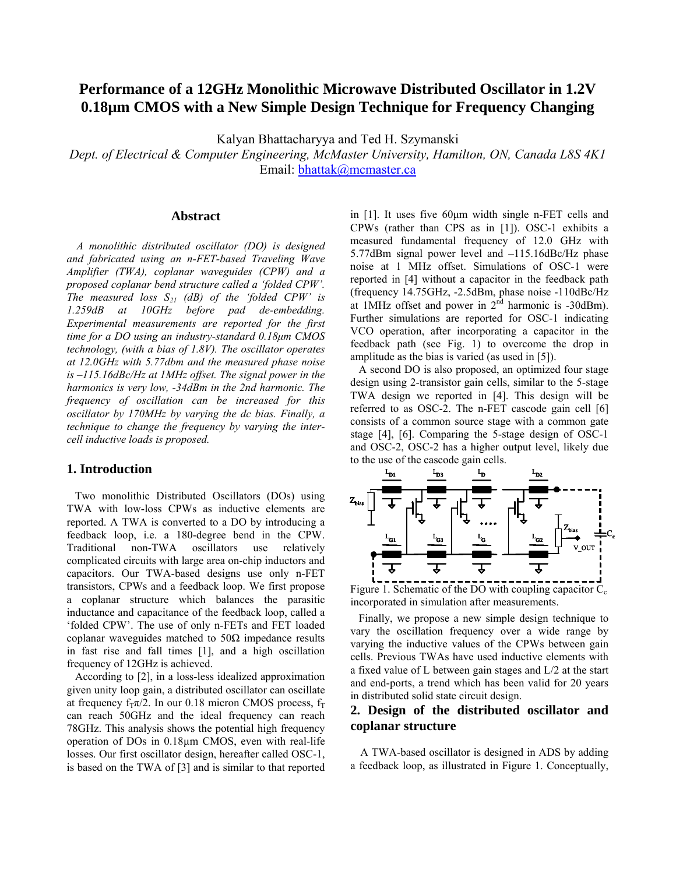# **Performance of a 12GHz Monolithic Microwave Distributed Oscillator in 1.2V 0.18µm CMOS with a New Simple Design Technique for Frequency Changing**

Kalyan Bhattacharyya and Ted H. Szymanski

*Dept. of Electrical & Computer Engineering, McMaster University, Hamilton, ON, Canada L8S 4K1*  Email: bhattak@mcmaster.ca

#### **Abstract**

*A monolithic distributed oscillator (DO) is designed and fabricated using an n-FET-based Traveling Wave Amplifier (TWA), coplanar waveguides (CPW) and a proposed coplanar bend structure called a 'folded CPW'.*  The measured loss  $S_{21}$  (dB) of the 'folded CPW' is *1.259dB at 10GHz before pad de-embedding. Experimental measurements are reported for the first time for a DO using an industry-standard 0.18μm CMOS technology, (with a bias of 1.8V). The oscillator operates at 12.0GHz with 5.77dbm and the measured phase noise is –115.16dBc/Hz at 1MHz offset. The signal power in the harmonics is very low, -34dBm in the 2nd harmonic. The frequency of oscillation can be increased for this oscillator by 170MHz by varying the dc bias. Finally, a technique to change the frequency by varying the intercell inductive loads is proposed.*

### **1. Introduction**

 Two monolithic Distributed Oscillators (DOs) using TWA with low-loss CPWs as inductive elements are reported. A TWA is converted to a DO by introducing a feedback loop, i.e. a 180-degree bend in the CPW. Traditional non-TWA oscillators use relatively complicated circuits with large area on-chip inductors and capacitors. Our TWA-based designs use only n-FET transistors, CPWs and a feedback loop. We first propose a coplanar structure which balances the parasitic inductance and capacitance of the feedback loop, called a 'folded CPW'. The use of only n-FETs and FET loaded coplanar waveguides matched to 50Ω impedance results in fast rise and fall times [1], and a high oscillation frequency of 12GHz is achieved.

 According to [2], in a loss-less idealized approximation given unity loop gain, a distributed oscillator can oscillate at frequency  $f_T \pi/2$ . In our 0.18 micron CMOS process,  $f_T$ can reach 50GHz and the ideal frequency can reach 78GHz. This analysis shows the potential high frequency operation of DOs in 0.18µm CMOS, even with real-life losses. Our first oscillator design, hereafter called OSC-1, is based on the TWA of [3] and is similar to that reported in [1]. It uses five 60μm width single n-FET cells and CPWs (rather than CPS as in [1]). OSC-1 exhibits a measured fundamental frequency of 12.0 GHz with 5.77dBm signal power level and –115.16dBc/Hz phase noise at 1 MHz offset. Simulations of OSC-1 were reported in [4] without a capacitor in the feedback path (frequency 14.75GHz, -2.5dBm, phase noise -110dBc/Hz at 1MHz offset and power in  $2<sup>nd</sup>$  harmonic is -30dBm). Further simulations are reported for OSC-1 indicating VCO operation, after incorporating a capacitor in the feedback path (see Fig. 1) to overcome the drop in amplitude as the bias is varied (as used in [5]).

 A second DO is also proposed, an optimized four stage design using 2-transistor gain cells, similar to the 5-stage TWA design we reported in [4]. This design will be referred to as OSC-2. The n-FET cascode gain cell [6] consists of a common source stage with a common gate stage [4], [6]. Comparing the 5-stage design of OSC-1 and OSC-2, OSC-2 has a higher output level, likely due to the use of the cascode gain cells.



Figure 1. Schematic of the DO with coupling capacitor  $C_c$ incorporated in simulation after measurements.

 Finally, we propose a new simple design technique to vary the oscillation frequency over a wide range by varying the inductive values of the CPWs between gain cells. Previous TWAs have used inductive elements with a fixed value of L between gain stages and L/2 at the start and end-ports, a trend which has been valid for 20 years in distributed solid state circuit design.

# **2. Design of the distributed oscillator and coplanar structure**

A TWA-based oscillator is designed in ADS by adding a feedback loop, as illustrated in Figure 1. Conceptually,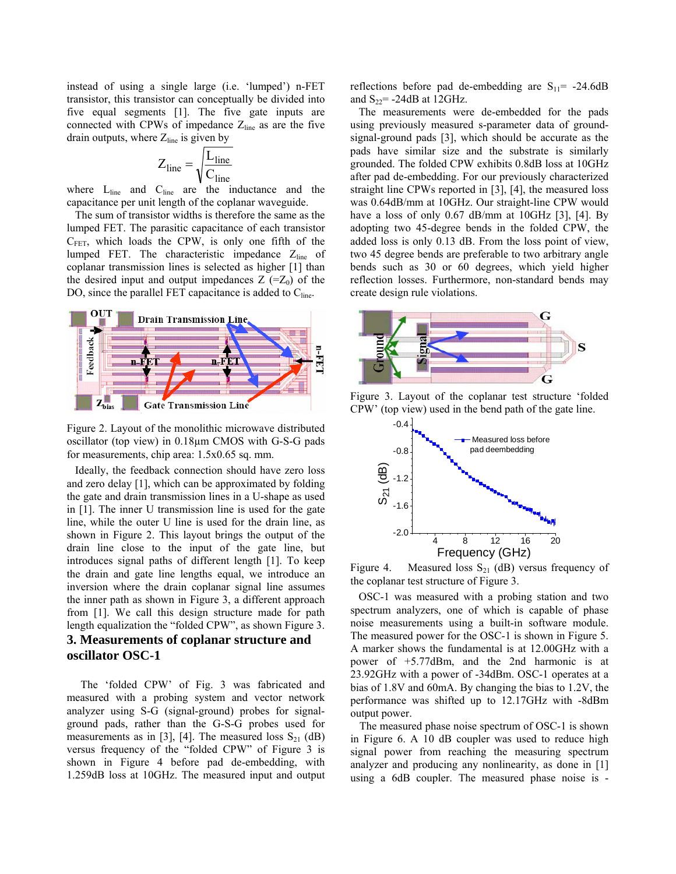instead of using a single large (i.e. 'lumped') n-FET transistor, this transistor can conceptually be divided into five equal segments [1]. The five gate inputs are connected with CPWs of impedance  $Z_{\text{line}}$  as are the five drain outputs, where  $Z_{\text{line}}$  is given by

$$
Z_{line} = \sqrt{\frac{L_{line}}{C_{line}}}
$$

where  $L_{line}$  and  $C_{line}$  are the inductance and the capacitance per unit length of the coplanar waveguide.

 The sum of transistor widths is therefore the same as the lumped FET. The parasitic capacitance of each transistor  $C_{FET}$ , which loads the CPW, is only one fifth of the lumped FET. The characteristic impedance Z<sub>line</sub> of coplanar transmission lines is selected as higher [1] than the desired input and output impedances  $Z$  (= $Z_0$ ) of the DO, since the parallel FET capacitance is added to  $C_{line}$ .



Figure 2. Layout of the monolithic microwave distributed oscillator (top view) in 0.18µm CMOS with G-S-G pads for measurements, chip area: 1.5x0.65 sq. mm.

 Ideally, the feedback connection should have zero loss and zero delay [1], which can be approximated by folding the gate and drain transmission lines in a U-shape as used in [1]. The inner U transmission line is used for the gate line, while the outer U line is used for the drain line, as shown in Figure 2. This layout brings the output of the drain line close to the input of the gate line, but introduces signal paths of different length [1]. To keep the drain and gate line lengths equal, we introduce an inversion where the drain coplanar signal line assumes the inner path as shown in Figure 3, a different approach from [1]. We call this design structure made for path length equalization the "folded CPW", as shown Figure 3.

# **3. Measurements of coplanar structure and oscillator OSC-1**

 The 'folded CPW' of Fig. 3 was fabricated and measured with a probing system and vector network analyzer using S-G (signal-ground) probes for signalground pads, rather than the G-S-G probes used for measurements as in [3], [4]. The measured loss  $S_{21}$  (dB) versus frequency of the "folded CPW" of Figure 3 is shown in Figure 4 before pad de-embedding, with 1.259dB loss at 10GHz. The measured input and output

reflections before pad de-embedding are  $S_{11}$  = -24.6dB and  $S_{22}$ = -24dB at 12GHz.

 The measurements were de-embedded for the pads using previously measured s-parameter data of groundsignal-ground pads [3], which should be accurate as the pads have similar size and the substrate is similarly grounded. The folded CPW exhibits 0.8dB loss at 10GHz after pad de-embedding. For our previously characterized straight line CPWs reported in [3], [4], the measured loss was 0.64dB/mm at 10GHz. Our straight-line CPW would have a loss of only 0.67 dB/mm at 10GHz [3], [4]. By adopting two 45-degree bends in the folded CPW, the added loss is only 0.13 dB. From the loss point of view, two 45 degree bends are preferable to two arbitrary angle bends such as 30 or 60 degrees, which yield higher reflection losses. Furthermore, non-standard bends may create design rule violations.



Figure 3. Layout of the coplanar test structure 'folded CPW' (top view) used in the bend path of the gate line.



Figure 4. Measured loss  $S_{21}$  (dB) versus frequency of the coplanar test structure of Figure 3.

 OSC-1 was measured with a probing station and two spectrum analyzers, one of which is capable of phase noise measurements using a built-in software module. The measured power for the OSC-1 is shown in Figure 5. A marker shows the fundamental is at 12.00GHz with a power of +5.77dBm, and the 2nd harmonic is at 23.92GHz with a power of -34dBm. OSC-1 operates at a bias of 1.8V and 60mA. By changing the bias to 1.2V, the performance was shifted up to 12.17GHz with -8dBm output power.

 The measured phase noise spectrum of OSC-1 is shown in Figure 6. A 10 dB coupler was used to reduce high signal power from reaching the measuring spectrum analyzer and producing any nonlinearity, as done in [1] using a 6dB coupler. The measured phase noise is -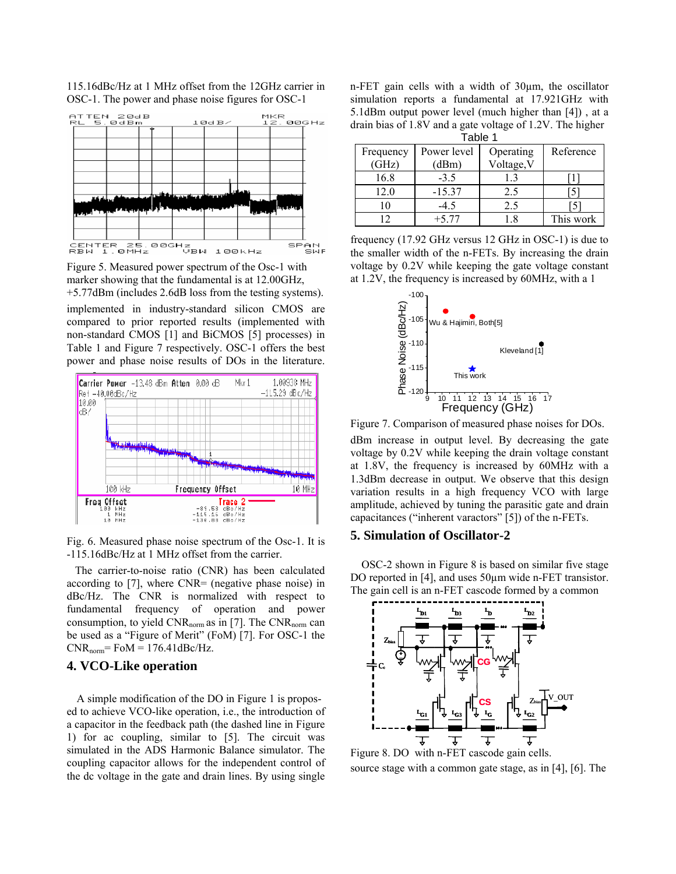

115.16dBc/Hz at 1 MHz offset from the 12GHz carrier in OSC-1. The power and phase noise figures for OSC-1

Figure 5. Measured power spectrum of the Osc-1 with marker showing that the fundamental is at 12.00GHz, +5.77dBm (includes 2.6dB loss from the testing systems).

implemented in industry-standard silicon CMOS are compared to prior reported results (implemented with non-standard CMOS [1] and BiCMOS [5] processes) in Table 1 and Figure 7 respectively. OSC-1 offers the best power and phase noise results of DOs in the literature.



Fig. 6. Measured phase noise spectrum of the Osc-1. It is -115.16dBc/Hz at 1 MHz offset from the carrier.

 The carrier-to-noise ratio (CNR) has been calculated according to [7], where CNR= (negative phase noise) in dBc/Hz. The CNR is normalized with respect to fundamental frequency of operation and power consumption, to yield  $CNR_{\text{norm}}$  as in [7]. The  $CNR_{\text{norm}}$  can be used as a "Figure of Merit" (FoM) [7]. For OSC-1 the  $CNR_{norm} = FoM = 176.41dBc/Hz.$ 

#### **4. VCO-Like operation**

 A simple modification of the DO in Figure 1 is proposed to achieve VCO-like operation, i.e., the introduction of a capacitor in the feedback path (the dashed line in Figure 1) for ac coupling, similar to [5]. The circuit was simulated in the ADS Harmonic Balance simulator. The coupling capacitor allows for the independent control of the dc voltage in the gate and drain lines. By using single

n-FET gain cells with a width of 30µm, the oscillator simulation reports a fundamental at 17.921GHz with 5.1dBm output power level (much higher than [4]) , at a drain bias of 1.8V and a gate voltage of 1.2V. The higher

| Table 1   |             |            |           |  |  |
|-----------|-------------|------------|-----------|--|--|
| Frequency | Power level | Operating  | Reference |  |  |
| (GHz)     | (dBm)       | Voltage, V |           |  |  |
| 16.8      | $-3.5$      | 1.3        |           |  |  |
| 12.0      | $-15.37$    | 2.5        |           |  |  |
|           | $-4.5$      | 2.5        |           |  |  |
|           | $+577$      |            | This work |  |  |

frequency (17.92 GHz versus 12 GHz in OSC-1) is due to the smaller width of the n-FETs. By increasing the drain voltage by 0.2V while keeping the gate voltage constant at 1.2V, the frequency is increased by 60MHz, with a 1



Figure 7. Comparison of measured phase noises for DOs.

dBm increase in output level. By decreasing the gate voltage by 0.2V while keeping the drain voltage constant at 1.8V, the frequency is increased by 60MHz with a 1.3dBm decrease in output. We observe that this design variation results in a high frequency VCO with large amplitude, achieved by tuning the parasitic gate and drain capacitances ("inherent varactors" [5]) of the n-FETs.

#### **5. Simulation of Oscillator-2**

 OSC-2 shown in Figure 8 is based on similar five stage DO reported in [4], and uses 50µm wide n-FET transistor. The gain cell is an n-FET cascode formed by a common



Figure 8. DO with n-FET cascode gain cells. source stage with a common gate stage, as in [4], [6]. The